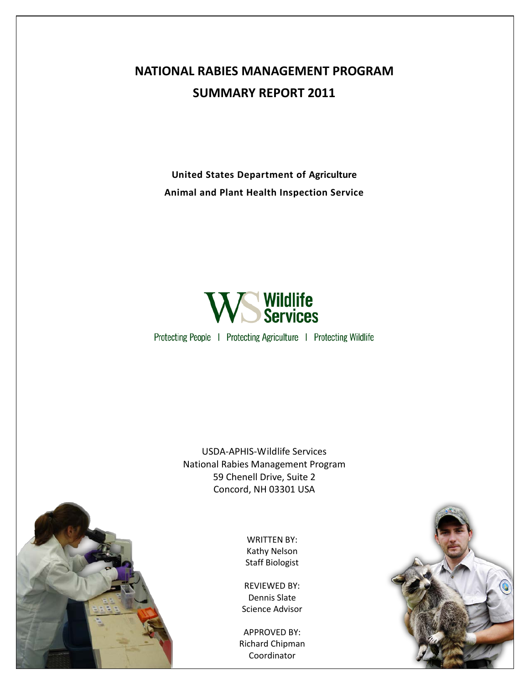## **NATIONAL RABIES MANAGEMENT PROGRAM SUMMARY REPORT 2011**

**United States Department of Agriculture Animal and Plant Health Inspection Service**



Protecting People | Protecting Agriculture | Protecting Wildlife

USDA-APHIS-Wildlife Services National Rabies Management Program 59 Chenell Drive, Suite 2 Concord, NH 03301 USA

> WRITTEN BY: Kathy Nelson Staff Biologist

REVIEWED BY: Dennis Slate Science Advisor

APPROVED BY: Richard Chipman Coordinator



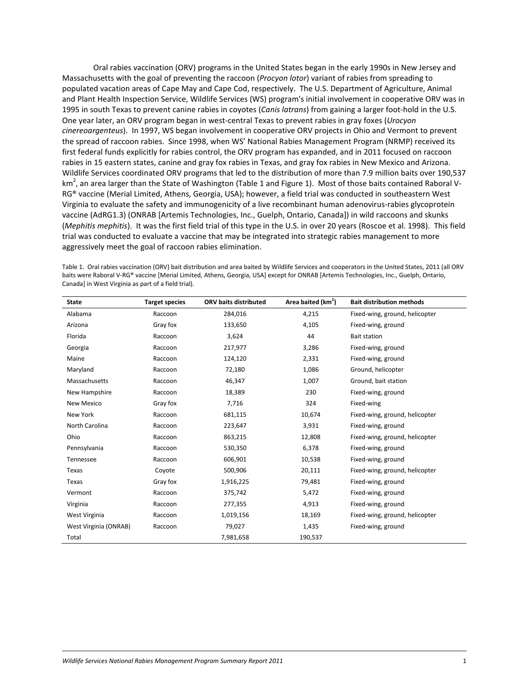Oral rabies vaccination (ORV) programs in the United States began in the early 1990s in New Jersey and Massachusetts with the goal of preventing the raccoon (*Procyon lotor*) variant of rabies from spreading to populated vacation areas of Cape May and Cape Cod, respectively. The U.S. Department of Agriculture, Animal and Plant Health Inspection Service, Wildlife Services (WS) program's initial involvement in cooperative ORV was in 1995 in south Texas to prevent canine rabies in coyotes (*Canis latrans*) from gaining a larger foot-hold in the U.S. One year later, an ORV program began in west-central Texas to prevent rabies in gray foxes (*Urocyon cinereoargenteus*). In 1997, WS began involvement in cooperative ORV projects in Ohio and Vermont to prevent the spread of raccoon rabies. Since 1998, when WS' National Rabies Management Program (NRMP) received its first federal funds explicitly for rabies control, the ORV program has expanded, and in 2011 focused on raccoon rabies in 15 eastern states, canine and gray fox rabies in Texas, and gray fox rabies in New Mexico and Arizona. Wildlife Services coordinated ORV programs that led to the distribution of more than 7.9 million baits over 190,537 km<sup>2</sup>, an area larger than the State of Washington (Table 1 and Figure 1). Most of those baits contained Raboral V-RG® vaccine (Merial Limited, Athens, Georgia, USA); however, a field trial was conducted in southeastern West Virginia to evaluate the safety and immunogenicity of a live recombinant human adenovirus-rabies glycoprotein vaccine (AdRG1.3) (ONRAB [Artemis Technologies, Inc., Guelph, Ontario, Canada]) in wild raccoons and skunks (*Mephitis mephitis*). It was the first field trial of this type in the U.S. in over 20 years (Roscoe et al. 1998). This field trial was conducted to evaluate a vaccine that may be integrated into strategic rabies management to more aggressively meet the goal of raccoon rabies elimination.

Table 1. Oral rabies vaccination (ORV) bait distribution and area baited by Wildlife Services and cooperators in the United States, 2011 (all ORV baits were Raboral V-RG® vaccine [Merial Limited, Athens, Georgia, USA] except for ONRAB [Artemis Technologies, Inc., Guelph, Ontario, Canada] in West Virginia as part of a field trial).

| <b>State</b>          | <b>Target species</b> | <b>ORV baits distributed</b> | Area baited (km <sup>2</sup> ) | <b>Bait distribution methods</b> |
|-----------------------|-----------------------|------------------------------|--------------------------------|----------------------------------|
| Alabama               | Raccoon               | 284,016                      | 4,215                          | Fixed-wing, ground, helicopter   |
| Arizona               | Gray fox              | 133,650                      | 4,105                          | Fixed-wing, ground               |
| Florida               | Raccoon               | 3,624                        | 44                             | <b>Bait station</b>              |
| Georgia               | Raccoon               | 217,977                      | 3,286                          | Fixed-wing, ground               |
| Maine                 | Raccoon               | 124,120                      | 2,331                          | Fixed-wing, ground               |
| Maryland              | Raccoon               | 72,180                       | 1,086                          | Ground, helicopter               |
| Massachusetts         | Raccoon               | 46,347                       | 1,007                          | Ground, bait station             |
| New Hampshire         | Raccoon               | 18,389                       | 230                            | Fixed-wing, ground               |
| New Mexico            | Gray fox              | 7,716                        | 324                            | Fixed-wing                       |
| New York              | Raccoon               | 681,115                      | 10,674                         | Fixed-wing, ground, helicopter   |
| North Carolina        | Raccoon               | 223,647                      | 3,931                          | Fixed-wing, ground               |
| Ohio                  | Raccoon               | 863,215                      | 12,808                         | Fixed-wing, ground, helicopter   |
| Pennsylvania          | Raccoon               | 530,350                      | 6,378                          | Fixed-wing, ground               |
| Tennessee             | Raccoon               | 606,901                      | 10,538                         | Fixed-wing, ground               |
| Texas                 | Coyote                | 500,906                      | 20,111                         | Fixed-wing, ground, helicopter   |
| Texas                 | Gray fox              | 1,916,225                    | 79,481                         | Fixed-wing, ground               |
| Vermont               | Raccoon               | 375,742                      | 5,472                          | Fixed-wing, ground               |
| Virginia              | Raccoon               | 277,355                      | 4,913                          | Fixed-wing, ground               |
| West Virginia         | Raccoon               | 1,019,156                    | 18,169                         | Fixed-wing, ground, helicopter   |
| West Virginia (ONRAB) | Raccoon               | 79,027                       | 1,435                          | Fixed-wing, ground               |
| Total                 |                       | 7,981,658                    | 190,537                        |                                  |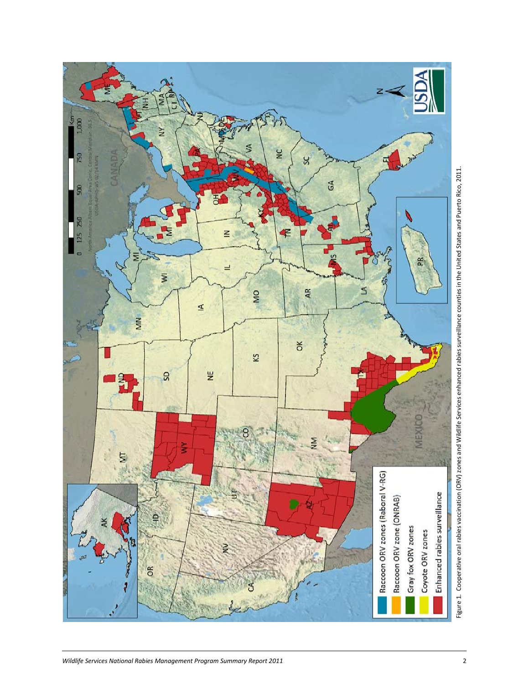

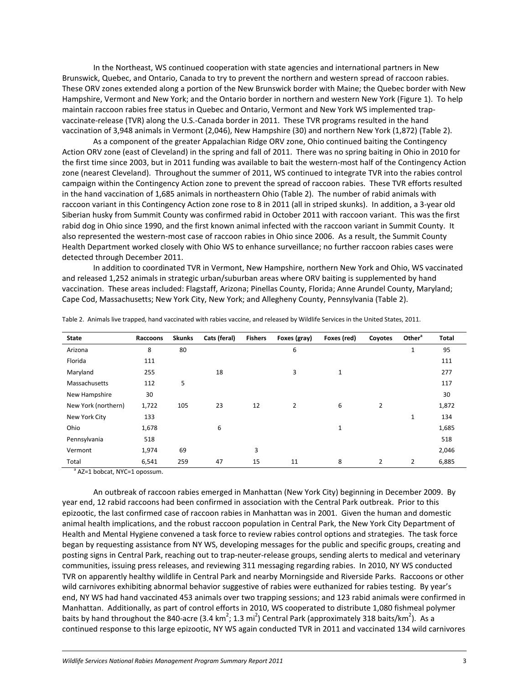In the Northeast, WS continued cooperation with state agencies and international partners in New Brunswick, Quebec, and Ontario, Canada to try to prevent the northern and western spread of raccoon rabies. These ORV zones extended along a portion of the New Brunswick border with Maine; the Quebec border with New Hampshire, Vermont and New York; and the Ontario border in northern and western New York (Figure 1). To help maintain raccoon rabies free status in Quebec and Ontario, Vermont and New York WS implemented trapvaccinate-release (TVR) along the U.S.-Canada border in 2011. These TVR programs resulted in the hand vaccination of 3,948 animals in Vermont (2,046), New Hampshire (30) and northern New York (1,872) (Table 2).

As a component of the greater Appalachian Ridge ORV zone, Ohio continued baiting the Contingency Action ORV zone (east of Cleveland) in the spring and fall of 2011. There was no spring baiting in Ohio in 2010 for the first time since 2003, but in 2011 funding was available to bait the western-most half of the Contingency Action zone (nearest Cleveland). Throughout the summer of 2011, WS continued to integrate TVR into the rabies control campaign within the Contingency Action zone to prevent the spread of raccoon rabies. These TVR efforts resulted in the hand vaccination of 1,685 animals in northeastern Ohio (Table 2). The number of rabid animals with raccoon variant in this Contingency Action zone rose to 8 in 2011 (all in striped skunks). In addition, a 3-year old Siberian husky from Summit County was confirmed rabid in October 2011 with raccoon variant. This was the first rabid dog in Ohio since 1990, and the first known animal infected with the raccoon variant in Summit County. It also represented the western-most case of raccoon rabies in Ohio since 2006. As a result, the Summit County Health Department worked closely with Ohio WS to enhance surveillance; no further raccoon rabies cases were detected through December 2011.

In addition to coordinated TVR in Vermont, New Hampshire, northern New York and Ohio, WS vaccinated and released 1,252 animals in strategic urban/suburban areas where ORV baiting is supplemented by hand vaccination. These areas included: Flagstaff, Arizona; Pinellas County, Florida; Anne Arundel County, Maryland; Cape Cod, Massachusetts; New York City, New York; and Allegheny County, Pennsylvania (Table 2).

| <b>State</b>        | Raccoons | Skunks | Cats (feral) | <b>Fishers</b> | Foxes (gray)   | Foxes (red)  | Coyotes        | Other <sup>a</sup> | <b>Total</b> |
|---------------------|----------|--------|--------------|----------------|----------------|--------------|----------------|--------------------|--------------|
| Arizona             | 8        | 80     |              |                | 6              |              |                | $\mathbf 1$        | 95           |
| Florida             | 111      |        |              |                |                |              |                |                    | 111          |
| Maryland            | 255      |        | 18           |                | 3              | $\mathbf{1}$ |                |                    | 277          |
| Massachusetts       | 112      | 5      |              |                |                |              |                |                    | 117          |
| New Hampshire       | 30       |        |              |                |                |              |                |                    | 30           |
| New York (northern) | 1,722    | 105    | 23           | 12             | $\overline{2}$ | 6            | $\overline{2}$ |                    | 1,872        |
| New York City       | 133      |        |              |                |                |              |                | 1                  | 134          |
| Ohio                | 1,678    |        | 6            |                |                | 1            |                |                    | 1,685        |
| Pennsylvania        | 518      |        |              |                |                |              |                |                    | 518          |
| Vermont             | 1,974    | 69     |              | 3              |                |              |                |                    | 2,046        |
| Total               | 6,541    | 259    | 47           | 15             | 11             | 8            | 2              | 2                  | 6,885        |

Table 2. Animals live trapped, hand vaccinated with rabies vaccine, and released by Wildlife Services in the United States, 2011.

<sup>a</sup> AZ=1 bobcat, NYC=1 opossum.

An outbreak of raccoon rabies emerged in Manhattan (New York City) beginning in December 2009. By year end, 12 rabid raccoons had been confirmed in association with the Central Park outbreak. Prior to this epizootic, the last confirmed case of raccoon rabies in Manhattan was in 2001. Given the human and domestic animal health implications, and the robust raccoon population in Central Park, the New York City Department of Health and Mental Hygiene convened a task force to review rabies control options and strategies. The task force began by requesting assistance from NY WS, developing messages for the public and specific groups, creating and posting signs in Central Park, reaching out to trap-neuter-release groups, sending alerts to medical and veterinary communities, issuing press releases, and reviewing 311 messaging regarding rabies. In 2010, NY WS conducted TVR on apparently healthy wildlife in Central Park and nearby Morningside and Riverside Parks. Raccoons or other wild carnivores exhibiting abnormal behavior suggestive of rabies were euthanized for rabies testing. By year's end, NY WS had hand vaccinated 453 animals over two trapping sessions; and 123 rabid animals were confirmed in Manhattan. Additionally, as part of control efforts in 2010, WS cooperated to distribute 1,080 fishmeal polymer baits by hand throughout the 840-acre (3.4 km<sup>2</sup>; 1.3 mi<sup>2</sup>) Central Park (approximately 318 baits/km<sup>2</sup>). As a continued response to this large epizootic, NY WS again conducted TVR in 2011 and vaccinated 134 wild carnivores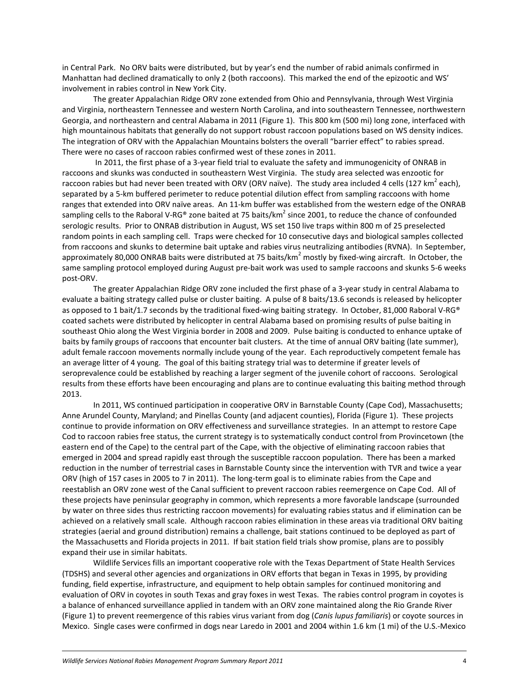in Central Park. No ORV baits were distributed, but by year's end the number of rabid animals confirmed in Manhattan had declined dramatically to only 2 (both raccoons). This marked the end of the epizootic and WS' involvement in rabies control in New York City.

The greater Appalachian Ridge ORV zone extended from Ohio and Pennsylvania, through West Virginia and Virginia, northeastern Tennessee and western North Carolina, and into southeastern Tennessee, northwestern Georgia, and northeastern and central Alabama in 2011 (Figure 1). This 800 km (500 mi) long zone, interfaced with high mountainous habitats that generally do not support robust raccoon populations based on WS density indices. The integration of ORV with the Appalachian Mountains bolsters the overall "barrier effect" to rabies spread. There were no cases of raccoon rabies confirmed west of these zones in 2011.

In 2011, the first phase of a 3-year field trial to evaluate the safety and immunogenicity of ONRAB in raccoons and skunks was conducted in southeastern West Virginia. The study area selected was enzootic for raccoon rabies but had never been treated with ORV (ORV naïve). The study area included 4 cells (127 km<sup>2</sup> each), separated by a 5-km buffered perimeter to reduce potential dilution effect from sampling raccoons with home ranges that extended into ORV naïve areas. An 11-km buffer was established from the western edge of the ONRAB sampling cells to the Raboral V-RG® zone baited at 75 baits/km<sup>2</sup> since 2001, to reduce the chance of confounded serologic results. Prior to ONRAB distribution in August, WS set 150 live traps within 800 m of 25 preselected random points in each sampling cell. Traps were checked for 10 consecutive days and biological samples collected from raccoons and skunks to determine bait uptake and rabies virus neutralizing antibodies (RVNA). In September, approximately 80,000 ONRAB baits were distributed at 75 baits/km<sup>2</sup> mostly by fixed-wing aircraft. In October, the same sampling protocol employed during August pre-bait work was used to sample raccoons and skunks 5-6 weeks post-ORV.

The greater Appalachian Ridge ORV zone included the first phase of a 3-year study in central Alabama to evaluate a baiting strategy called pulse or cluster baiting. A pulse of 8 baits/13.6 seconds is released by helicopter as opposed to 1 bait/1.7 seconds by the traditional fixed-wing baiting strategy. In October, 81,000 Raboral V-RG® coated sachets were distributed by helicopter in central Alabama based on promising results of pulse baiting in southeast Ohio along the West Virginia border in 2008 and 2009. Pulse baiting is conducted to enhance uptake of baits by family groups of raccoons that encounter bait clusters. At the time of annual ORV baiting (late summer), adult female raccoon movements normally include young of the year. Each reproductively competent female has an average litter of 4 young. The goal of this baiting strategy trial was to determine if greater levels of seroprevalence could be established by reaching a larger segment of the juvenile cohort of raccoons. Serological results from these efforts have been encouraging and plans are to continue evaluating this baiting method through 2013.

In 2011, WS continued participation in cooperative ORV in Barnstable County (Cape Cod), Massachusetts; Anne Arundel County, Maryland; and Pinellas County (and adjacent counties), Florida (Figure 1). These projects continue to provide information on ORV effectiveness and surveillance strategies. In an attempt to restore Cape Cod to raccoon rabies free status, the current strategy is to systematically conduct control from Provincetown (the eastern end of the Cape) to the central part of the Cape, with the objective of eliminating raccoon rabies that emerged in 2004 and spread rapidly east through the susceptible raccoon population. There has been a marked reduction in the number of terrestrial cases in Barnstable County since the intervention with TVR and twice a year ORV (high of 157 cases in 2005 to 7 in 2011). The long-term goal is to eliminate rabies from the Cape and reestablish an ORV zone west of the Canal sufficient to prevent raccoon rabies reemergence on Cape Cod. All of these projects have peninsular geography in common, which represents a more favorable landscape (surrounded by water on three sides thus restricting raccoon movements) for evaluating rabies status and if elimination can be achieved on a relatively small scale. Although raccoon rabies elimination in these areas via traditional ORV baiting strategies (aerial and ground distribution) remains a challenge, bait stations continued to be deployed as part of the Massachusetts and Florida projects in 2011. If bait station field trials show promise, plans are to possibly expand their use in similar habitats.

Wildlife Services fills an important cooperative role with the Texas Department of State Health Services (TDSHS) and several other agencies and organizations in ORV efforts that began in Texas in 1995, by providing funding, field expertise, infrastructure, and equipment to help obtain samples for continued monitoring and evaluation of ORV in coyotes in south Texas and gray foxes in west Texas. The rabies control program in coyotes is a balance of enhanced surveillance applied in tandem with an ORV zone maintained along the Rio Grande River (Figure 1) to prevent reemergence of this rabies virus variant from dog (*Canis lupus familiaris*) or coyote sources in Mexico. Single cases were confirmed in dogs near Laredo in 2001 and 2004 within 1.6 km (1 mi) of the U.S.-Mexico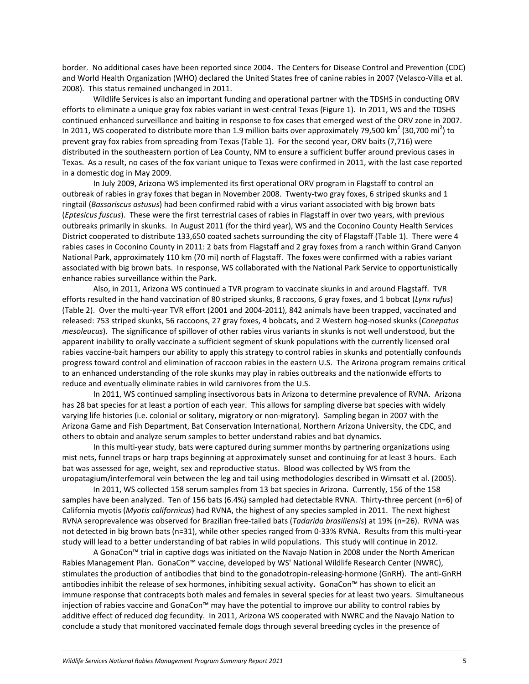border. No additional cases have been reported since 2004. The Centers for Disease Control and Prevention (CDC) and World Health Organization (WHO) declared the United States free of canine rabies in 2007 (Velasco-Villa et al. 2008). This status remained unchanged in 2011.

Wildlife Services is also an important funding and operational partner with the TDSHS in conducting ORV efforts to eliminate a unique gray fox rabies variant in west-central Texas (Figure 1). In 2011, WS and the TDSHS continued enhanced surveillance and baiting in response to fox cases that emerged west of the ORV zone in 2007. In 2011, WS cooperated to distribute more than 1.9 million baits over approximately 79,500 km<sup>2</sup> (30,700 mi<sup>2</sup>) to prevent gray fox rabies from spreading from Texas (Table 1). For the second year, ORV baits (7,716) were distributed in the southeastern portion of Lea County, NM to ensure a sufficient buffer around previous cases in Texas. As a result, no cases of the fox variant unique to Texas were confirmed in 2011, with the last case reported in a domestic dog in May 2009.

In July 2009, Arizona WS implemented its first operational ORV program in Flagstaff to control an outbreak of rabies in gray foxes that began in November 2008. Twenty-two gray foxes, 6 striped skunks and 1 ringtail (*Bassariscus astusus*) had been confirmed rabid with a virus variant associated with big brown bats (*Eptesicus fuscus*). These were the first terrestrial cases of rabies in Flagstaff in over two years, with previous outbreaks primarily in skunks. In August 2011 (for the third year), WS and the Coconino County Health Services District cooperated to distribute 133,650 coated sachets surrounding the city of Flagstaff (Table 1). There were 4 rabies cases in Coconino County in 2011: 2 bats from Flagstaff and 2 gray foxes from a ranch within Grand Canyon National Park, approximately 110 km (70 mi) north of Flagstaff. The foxes were confirmed with a rabies variant associated with big brown bats. In response, WS collaborated with the National Park Service to opportunistically enhance rabies surveillance within the Park.

Also, in 2011, Arizona WS continued a TVR program to vaccinate skunks in and around Flagstaff. TVR efforts resulted in the hand vaccination of 80 striped skunks, 8 raccoons, 6 gray foxes, and 1 bobcat (*Lynx rufus*) (Table 2). Over the multi-year TVR effort (2001 and 2004-2011), 842 animals have been trapped, vaccinated and released: 753 striped skunks, 56 raccoons, 27 gray foxes, 4 bobcats, and 2 Western hog-nosed skunks (*Conepatus mesoleucus*). The significance of spillover of other rabies virus variants in skunks is not well understood, but the apparent inability to orally vaccinate a sufficient segment of skunk populations with the currently licensed oral rabies vaccine-bait hampers our ability to apply this strategy to control rabies in skunks and potentially confounds progress toward control and elimination of raccoon rabies in the eastern U.S. The Arizona program remains critical to an enhanced understanding of the role skunks may play in rabies outbreaks and the nationwide efforts to reduce and eventually eliminate rabies in wild carnivores from the U.S.

In 2011, WS continued sampling insectivorous bats in Arizona to determine prevalence of RVNA. Arizona has 28 bat species for at least a portion of each year. This allows for sampling diverse bat species with widely varying life histories (i.e. colonial or solitary, migratory or non-migratory). Sampling began in 2007 with the Arizona Game and Fish Department, Bat Conservation International, Northern Arizona University, the CDC, and others to obtain and analyze serum samples to better understand rabies and bat dynamics.

In this multi-year study, bats were captured during summer months by partnering organizations using mist nets, funnel traps or harp traps beginning at approximately sunset and continuing for at least 3 hours. Each bat was assessed for age, weight, sex and reproductive status. Blood was collected by WS from the uropatagium/interfemoral vein between the leg and tail using methodologies described in Wimsatt et al. (2005).

In 2011, WS collected 158 serum samples from 13 bat species in Arizona. Currently, 156 of the 158 samples have been analyzed. Ten of 156 bats (6.4%) sampled had detectable RVNA. Thirty-three percent (n=6) of California myotis (*Myotis californicus*) had RVNA, the highest of any species sampled in 2011. The next highest RVNA seroprevalence was observed for Brazilian free-tailed bats (*Tadarida brasiliensis*) at 19% (n=26). RVNA was not detected in big brown bats (n=31), while other species ranged from 0-33% RVNA. Results from this multi-year study will lead to a better understanding of bat rabies in wild populations. This study will continue in 2012.

A GonaCon™ trial in captive dogs was initiated on the Navajo Nation in 2008 under the North American Rabies Management Plan. GonaCon™ vaccine, developed by WS' National Wildlife Research Center (NWRC), stimulates the production of antibodies that bind to the gonadotropin-releasing-hormone (GnRH). The anti-GnRH antibodies inhibit the release of sex hormones, inhibiting sexual activity**.** GonaCon™ has shown to elicit an immune response that contracepts both males and females in several species for at least two years. Simultaneous injection of rabies vaccine and GonaCon™ may have the potential to improve our ability to control rabies by additive effect of reduced dog fecundity. In 2011, Arizona WS cooperated with NWRC and the Navajo Nation to conclude a study that monitored vaccinated female dogs through several breeding cycles in the presence of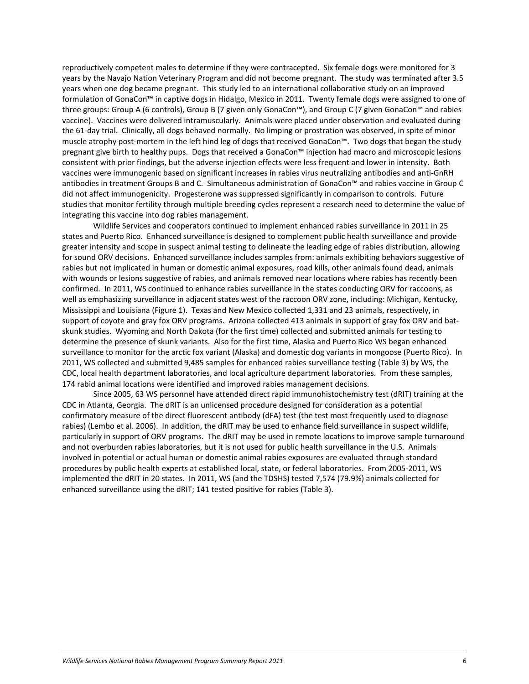reproductively competent males to determine if they were contracepted. Six female dogs were monitored for 3 years by the Navajo Nation Veterinary Program and did not become pregnant. The study was terminated after 3.5 years when one dog became pregnant. This study led to an international collaborative study on an improved formulation of GonaCon™ in captive dogs in Hidalgo, Mexico in 2011. Twenty female dogs were assigned to one of three groups: Group A (6 controls), Group B (7 given only GonaCon™), and Group C (7 given GonaCon™ and rabies vaccine). Vaccines were delivered intramuscularly. Animals were placed under observation and evaluated during the 61-day trial. Clinically, all dogs behaved normally. No limping or prostration was observed, in spite of minor muscle atrophy post-mortem in the left hind leg of dogs that received GonaCon™. Two dogs that began the study pregnant give birth to healthy pups. Dogs that received a GonaCon™ injection had macro and microscopic lesions consistent with prior findings, but the adverse injection effects were less frequent and lower in intensity. Both vaccines were immunogenic based on significant increases in rabies virus neutralizing antibodies and anti-GnRH antibodies in treatment Groups B and C. Simultaneous administration of GonaCon™ and rabies vaccine in Group C did not affect immunogenicity. Progesterone was suppressed significantly in comparison to controls. Future studies that monitor fertility through multiple breeding cycles represent a research need to determine the value of integrating this vaccine into dog rabies management.

Wildlife Services and cooperators continued to implement enhanced rabies surveillance in 2011 in 25 states and Puerto Rico. Enhanced surveillance is designed to complement public health surveillance and provide greater intensity and scope in suspect animal testing to delineate the leading edge of rabies distribution, allowing for sound ORV decisions. Enhanced surveillance includes samples from: animals exhibiting behaviors suggestive of rabies but not implicated in human or domestic animal exposures, road kills, other animals found dead, animals with wounds or lesions suggestive of rabies, and animals removed near locations where rabies has recently been confirmed. In 2011, WS continued to enhance rabies surveillance in the states conducting ORV for raccoons, as well as emphasizing surveillance in adjacent states west of the raccoon ORV zone, including: Michigan, Kentucky, Mississippi and Louisiana (Figure 1). Texas and New Mexico collected 1,331 and 23 animals, respectively, in support of coyote and gray fox ORV programs. Arizona collected 413 animals in support of gray fox ORV and batskunk studies. Wyoming and North Dakota (for the first time) collected and submitted animals for testing to determine the presence of skunk variants. Also for the first time, Alaska and Puerto Rico WS began enhanced surveillance to monitor for the arctic fox variant (Alaska) and domestic dog variants in mongoose (Puerto Rico). In 2011, WS collected and submitted 9,485 samples for enhanced rabies surveillance testing (Table 3) by WS, the CDC, local health department laboratories, and local agriculture department laboratories. From these samples, 174 rabid animal locations were identified and improved rabies management decisions.

Since 2005, 63 WS personnel have attended direct rapid immunohistochemistry test (dRIT) training at the CDC in Atlanta, Georgia. The dRIT is an unlicensed procedure designed for consideration as a potential confirmatory measure of the direct fluorescent antibody (dFA) test (the test most frequently used to diagnose rabies) (Lembo et al. 2006). In addition, the dRIT may be used to enhance field surveillance in suspect wildlife, particularly in support of ORV programs. The dRIT may be used in remote locations to improve sample turnaround and not overburden rabies laboratories, but it is not used for public health surveillance in the U.S. Animals involved in potential or actual human or domestic animal rabies exposures are evaluated through standard procedures by public health experts at established local, state, or federal laboratories. From 2005-2011, WS implemented the dRIT in 20 states. In 2011, WS (and the TDSHS) tested 7,574 (79.9%) animals collected for enhanced surveillance using the dRIT; 141 tested positive for rabies (Table 3).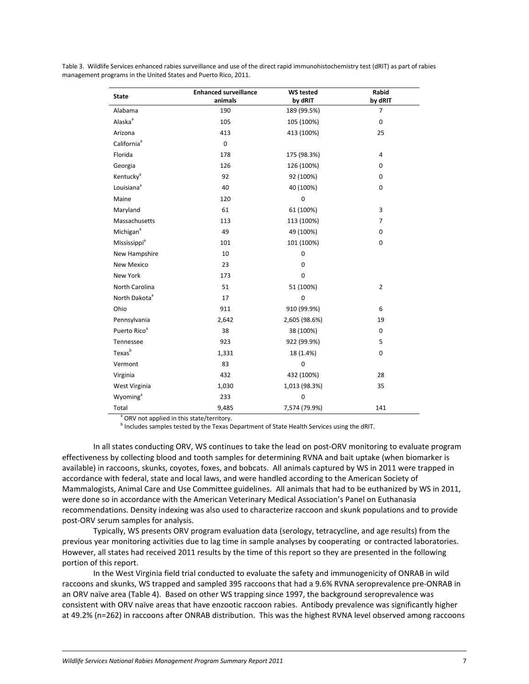Table 3. Wildlife Services enhanced rabies surveillance and use of the direct rapid immunohistochemistry test (dRIT) as part of rabies management programs in the United States and Puerto Rico, 2011.

| <b>State</b>              | <b>Enhanced surveillance</b><br>animals | <b>WS tested</b><br>by dRIT | Rabid<br>by dRIT |
|---------------------------|-----------------------------------------|-----------------------------|------------------|
| Alabama                   | 190                                     | 189 (99.5%)                 | $\overline{7}$   |
| Alaska <sup>a</sup>       | 105                                     | 105 (100%)                  | $\mathbf 0$      |
| Arizona                   | 413                                     | 413 (100%)                  | 25               |
| California <sup>ª</sup>   | $\mathbf 0$                             |                             |                  |
| Florida                   | 178                                     | 175 (98.3%)                 | $\overline{4}$   |
| Georgia                   | 126                                     | 126 (100%)                  | 0                |
| Kentucky <sup>a</sup>     | 92                                      | 92 (100%)                   | 0                |
| Louisiana <sup>ª</sup>    | 40                                      | 40 (100%)                   | $\mathbf 0$      |
| Maine                     | 120                                     | $\pmb{0}$                   |                  |
| Maryland                  | 61                                      | 61 (100%)                   | 3                |
| Massachusetts             | 113                                     | 113 (100%)                  | $\overline{7}$   |
| Michigan <sup>a</sup>     | 49                                      | 49 (100%)                   | 0                |
| Mississippi <sup>a</sup>  | 101                                     | 101 (100%)                  | 0                |
| New Hampshire             | 10                                      | $\mathbf 0$                 |                  |
| <b>New Mexico</b>         | 23                                      | $\mathbf 0$                 |                  |
| New York                  | 173                                     | $\mathbf 0$                 |                  |
| North Carolina            | 51                                      | 51 (100%)                   | $\overline{2}$   |
| North Dakota <sup>ª</sup> | 17                                      | $\mathbf 0$                 |                  |
| Ohio                      | 911                                     | 910 (99.9%)                 | 6                |
| Pennsylvania              | 2,642                                   | 2,605 (98.6%)               | 19               |
| Puerto Rico <sup>a</sup>  | 38                                      | 38 (100%)                   | $\mathbf 0$      |
| Tennessee                 | 923                                     | 922 (99.9%)                 | 5                |
| Texas <sup>b</sup>        | 1,331                                   | 18 (1.4%)                   | 0                |
| Vermont                   | 83                                      | $\mathbf 0$                 |                  |
| Virginia                  | 432                                     | 432 (100%)                  | 28               |
| West Virginia             | 1,013 (98.3%)<br>1,030                  |                             | 35               |
| Wyoming <sup>a</sup>      | 233                                     | $\mathbf 0$                 |                  |
| Total                     | 9,485                                   | 7,574 (79.9%)               | 141              |

<sup>a</sup> ORV not applied in this state/territory.

**b** Includes samples tested by the Texas Department of State Health Services using the dRIT.

In all states conducting ORV, WS continues to take the lead on post-ORV monitoring to evaluate program effectiveness by collecting blood and tooth samples for determining RVNA and bait uptake (when biomarker is available) in raccoons, skunks, coyotes, foxes, and bobcats. All animals captured by WS in 2011 were trapped in accordance with federal, state and local laws, and were handled according to the American Society of Mammalogists, Animal Care and Use Committee guidelines. All animals that had to be euthanized by WS in 2011, were done so in accordance with the American Veterinary Medical Association's Panel on Euthanasia recommendations. Density indexing was also used to characterize raccoon and skunk populations and to provide post-ORV serum samples for analysis.

Typically, WS presents ORV program evaluation data (serology, tetracycline, and age results) from the previous year monitoring activities due to lag time in sample analyses by cooperating or contracted laboratories. However, all states had received 2011 results by the time of this report so they are presented in the following portion of this report.

In the West Virginia field trial conducted to evaluate the safety and immunogenicity of ONRAB in wild raccoons and skunks, WS trapped and sampled 395 raccoons that had a 9.6% RVNA seroprevalence pre-ONRAB in an ORV naïve area (Table 4). Based on other WS trapping since 1997, the background seroprevalence was consistent with ORV naïve areas that have enzootic raccoon rabies. Antibody prevalence was significantly higher at 49.2% (n=262) in raccoons after ONRAB distribution. This was the highest RVNA level observed among raccoons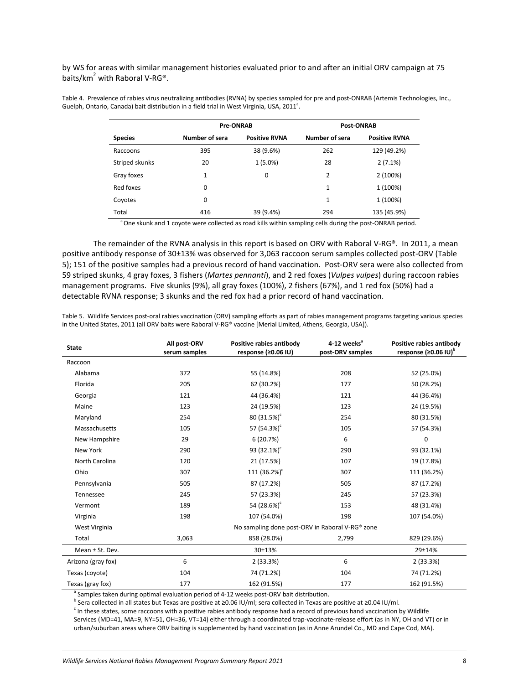by WS for areas with similar management histories evaluated prior to and after an initial ORV campaign at 75 baits/ $km^2$  with Raboral V-RG®.

Table 4. Prevalence of rabies virus neutralizing antibodies (RVNA) by species sampled for pre and post-ONRAB (Artemis Technologies, Inc., Guelph, Ontario, Canada) bait distribution in a field trial in West Virginia, USA, 2011<sup>a</sup>.

|                | <b>Pre-ONRAB</b> |                      | <b>Post-ONRAB</b> |                      |  |
|----------------|------------------|----------------------|-------------------|----------------------|--|
| <b>Species</b> | Number of sera   | <b>Positive RVNA</b> | Number of sera    | <b>Positive RVNA</b> |  |
| Raccoons       | 395              | 38 (9.6%)            | 262               | 129 (49.2%)          |  |
| Striped skunks | 20               | $1(5.0\%)$           | 28                | 2(7.1%)              |  |
| Gray foxes     | 1                | 0                    | 2                 | 2 (100%)             |  |
| Red foxes      | 0                |                      | 1                 | 1 (100%)             |  |
| Coyotes        | 0                |                      | 1                 | 1 (100%)             |  |
| Total          | 416              | 39 (9.4%)            | 294               | 135 (45.9%)          |  |

One skunk and 1 coyote were collected as road kills within sampling cells during the post-ONRAB period.

The remainder of the RVNA analysis in this report is based on ORV with Raboral V-RG®. In 2011, a mean positive antibody response of 30±13% was observed for 3,063 raccoon serum samples collected post-ORV (Table 5); 151 of the positive samples had a previous record of hand vaccination. Post-ORV sera were also collected from 59 striped skunks, 4 gray foxes, 3 fishers (*Martes pennanti*), and 2 red foxes (*Vulpes vulpes*) during raccoon rabies management programs. Five skunks (9%), all gray foxes (100%), 2 fishers (67%), and 1 red fox (50%) had a detectable RVNA response; 3 skunks and the red fox had a prior record of hand vaccination.

Table 5. Wildlife Services post-oral rabies vaccination (ORV) sampling efforts as part of rabies management programs targeting various species in the United States, 2011 (all ORV baits were Raboral V-RG® vaccine [Merial Limited, Athens, Georgia, USA]).

| <b>State</b>       | Positive rabies antibody<br>4-12 weeks <sup>a</sup><br>All post-ORV<br>response (≥0.06 IU)<br>serum samples |                                                 | post-ORV samples | Positive rabies antibody<br>response ( $\geq 0.06$ IU) <sup>b</sup> |  |
|--------------------|-------------------------------------------------------------------------------------------------------------|-------------------------------------------------|------------------|---------------------------------------------------------------------|--|
| Raccoon            |                                                                                                             |                                                 |                  |                                                                     |  |
| Alabama            | 372                                                                                                         | 208<br>55 (14.8%)                               |                  | 52 (25.0%)                                                          |  |
| Florida            | 205                                                                                                         | 62 (30.2%)                                      | 177              | 50 (28.2%)                                                          |  |
| Georgia            | 121                                                                                                         | 44 (36.4%)                                      | 121              | 44 (36.4%)                                                          |  |
| Maine              | 123                                                                                                         | 24 (19.5%)                                      | 123              | 24 (19.5%)                                                          |  |
| Maryland           | 254                                                                                                         | 80 $(31.5%)^c$                                  | 254              | 80 (31.5%)                                                          |  |
| Massachusetts      | 105                                                                                                         | 57 (54.3%) <sup>c</sup>                         | 105              | 57 (54.3%)                                                          |  |
| New Hampshire      | 29                                                                                                          | 6(20.7%)                                        | 6                | $\mathbf 0$                                                         |  |
| New York           | 290                                                                                                         | 93 $(32.1\%)^c$                                 | 290              | 93 (32.1%)                                                          |  |
| North Carolina     | 120                                                                                                         | 21 (17.5%)                                      | 107              | 19 (17.8%)                                                          |  |
| Ohio               | 307                                                                                                         | 111 $(36.2\%)^c$                                | 307              | 111 (36.2%)                                                         |  |
| Pennsylvania       | 505                                                                                                         | 87 (17.2%)                                      | 505              | 87 (17.2%)                                                          |  |
| Tennessee          | 245                                                                                                         | 57 (23.3%)                                      | 245              | 57 (23.3%)                                                          |  |
| Vermont            | 189                                                                                                         | 54 $(28.6%)^c$                                  | 153              | 48 (31.4%)                                                          |  |
| Virginia           | 198                                                                                                         | 107 (54.0%)                                     | 198              | 107 (54.0%)                                                         |  |
| West Virginia      |                                                                                                             | No sampling done post-ORV in Raboral V-RG® zone |                  |                                                                     |  |
| Total              | 3,063                                                                                                       | 858 (28.0%)                                     | 2,799            | 829 (29.6%)                                                         |  |
| Mean ± St. Dev.    |                                                                                                             | 30±13%                                          |                  | 29±14%                                                              |  |
| Arizona (gray fox) | 6                                                                                                           | 2(33.3%)                                        | 6                | 2(33.3%)                                                            |  |
| Texas (coyote)     | 104                                                                                                         | 74 (71.2%)                                      | 104              | 74 (71.2%)                                                          |  |
| Texas (gray fox)   | 177                                                                                                         | 162 (91.5%)                                     | 177              | 162 (91.5%)                                                         |  |

<sup>a</sup> Samples taken during optimal evaluation period of 4-12 weeks post-ORV bait distribution.<br><sup>b</sup> Sera collected in all states but Texas are positive at ≥0.06 IU/ml; sera collected in Texas are positive at ≥0.04 IU/ml.

<sup>c</sup> In these states, some raccoons with a positive rabies antibody response had a record of previous hand vaccination by Wildlife Services (MD=41, MA=9, NY=51, OH=36, VT=14) either through a coordinated trap-vaccinate-release effort (as in NY, OH and VT) or in urban/suburban areas where ORV baiting is supplemented by hand vaccination (as in Anne Arundel Co., MD and Cape Cod, MA).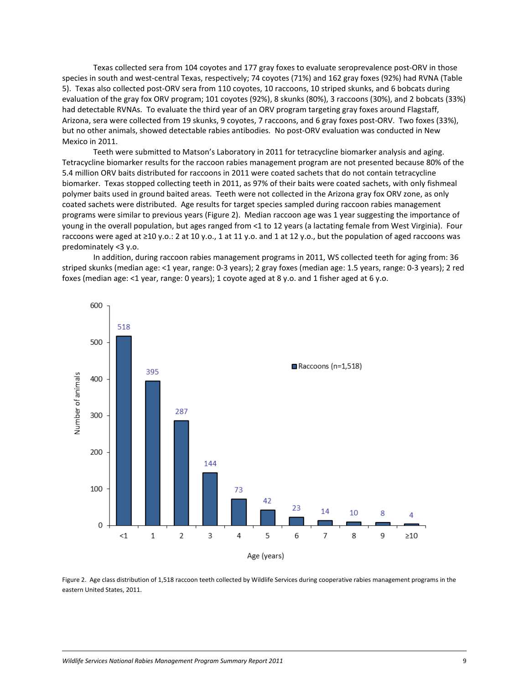Texas collected sera from 104 coyotes and 177 gray foxes to evaluate seroprevalence post-ORV in those species in south and west-central Texas, respectively; 74 coyotes (71%) and 162 gray foxes (92%) had RVNA (Table 5). Texas also collected post-ORV sera from 110 coyotes, 10 raccoons, 10 striped skunks, and 6 bobcats during evaluation of the gray fox ORV program; 101 coyotes (92%), 8 skunks (80%), 3 raccoons (30%), and 2 bobcats (33%) had detectable RVNAs. To evaluate the third year of an ORV program targeting gray foxes around Flagstaff, Arizona, sera were collected from 19 skunks, 9 coyotes, 7 raccoons, and 6 gray foxes post-ORV. Two foxes (33%), but no other animals, showed detectable rabies antibodies. No post-ORV evaluation was conducted in New Mexico in 2011.

Teeth were submitted to Matson's Laboratory in 2011 for tetracycline biomarker analysis and aging. Tetracycline biomarker results for the raccoon rabies management program are not presented because 80% of the 5.4 million ORV baits distributed for raccoons in 2011 were coated sachets that do not contain tetracycline biomarker. Texas stopped collecting teeth in 2011, as 97% of their baits were coated sachets, with only fishmeal polymer baits used in ground baited areas. Teeth were not collected in the Arizona gray fox ORV zone, as only coated sachets were distributed. Age results for target species sampled during raccoon rabies management programs were similar to previous years (Figure 2). Median raccoon age was 1 year suggesting the importance of young in the overall population, but ages ranged from <1 to 12 years (a lactating female from West Virginia). Four raccoons were aged at ≥10 y.o.: 2 at 10 y.o., 1 at 11 y.o. and 1 at 12 y.o., but the population of aged raccoons was predominately <3 y.o.

In addition, during raccoon rabies management programs in 2011, WS collected teeth for aging from: 36 striped skunks (median age: <1 year, range: 0-3 years); 2 gray foxes (median age: 1.5 years, range: 0-3 years); 2 red foxes (median age: <1 year, range: 0 years); 1 coyote aged at 8 y.o. and 1 fisher aged at 6 y.o.



Figure 2. Age class distribution of 1,518 raccoon teeth collected by Wildlife Services during cooperative rabies management programs in the eastern United States, 2011.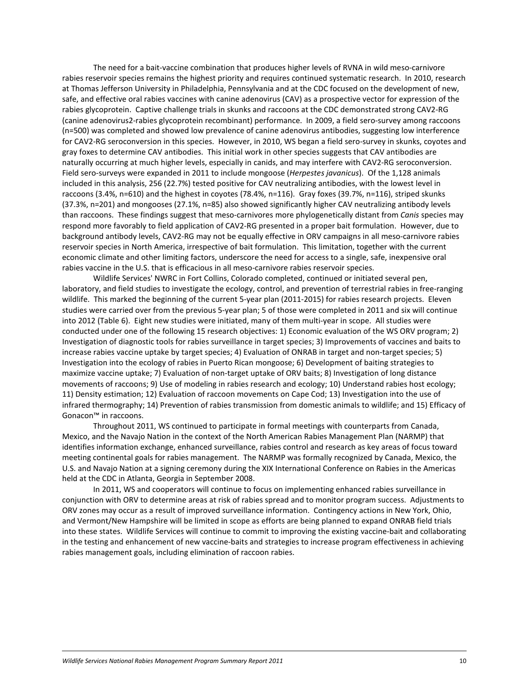The need for a bait-vaccine combination that produces higher levels of RVNA in wild meso-carnivore rabies reservoir species remains the highest priority and requires continued systematic research. In 2010, research at Thomas Jefferson University in Philadelphia, Pennsylvania and at the CDC focused on the development of new, safe, and effective oral rabies vaccines with canine adenovirus (CAV) as a prospective vector for expression of the rabies glycoprotein. Captive challenge trials in skunks and raccoons at the CDC demonstrated strong CAV2-RG (canine adenovirus2-rabies glycoprotein recombinant) performance. In 2009, a field sero-survey among raccoons (n=500) was completed and showed low prevalence of canine adenovirus antibodies, suggesting low interference for CAV2-RG seroconversion in this species. However, in 2010, WS began a field sero-survey in skunks, coyotes and gray foxes to determine CAV antibodies. This initial work in other species suggests that CAV antibodies are naturally occurring at much higher levels, especially in canids, and may interfere with CAV2-RG seroconversion. Field sero-surveys were expanded in 2011 to include mongoose (*Herpestes javanicus*). Of the 1,128 animals included in this analysis, 256 (22.7%) tested positive for CAV neutralizing antibodies, with the lowest level in raccoons (3.4%, n=610) and the highest in coyotes (78.4%, n=116). Gray foxes (39.7%, n=116), striped skunks (37.3%, n=201) and mongooses (27.1%, n=85) also showed significantly higher CAV neutralizing antibody levels than raccoons. These findings suggest that meso-carnivores more phylogenetically distant from *Canis* species may respond more favorably to field application of CAV2-RG presented in a proper bait formulation. However, due to background antibody levels, CAV2-RG may not be equally effective in ORV campaigns in all meso-carnivore rabies reservoir species in North America, irrespective of bait formulation. This limitation, together with the current economic climate and other limiting factors, underscore the need for access to a single, safe, inexpensive oral rabies vaccine in the U.S. that is efficacious in all meso-carnivore rabies reservoir species.

Wildlife Services' NWRC in Fort Collins, Colorado completed, continued or initiated several pen, laboratory, and field studies to investigate the ecology, control, and prevention of terrestrial rabies in free-ranging wildlife. This marked the beginning of the current 5-year plan (2011-2015) for rabies research projects. Eleven studies were carried over from the previous 5-year plan; 5 of those were completed in 2011 and six will continue into 2012 (Table 6). Eight new studies were initiated, many of them multi-year in scope. All studies were conducted under one of the following 15 research objectives: 1) Economic evaluation of the WS ORV program; 2) Investigation of diagnostic tools for rabies surveillance in target species; 3) Improvements of vaccines and baits to increase rabies vaccine uptake by target species; 4) Evaluation of ONRAB in target and non-target species; 5) Investigation into the ecology of rabies in Puerto Rican mongoose; 6) Development of baiting strategies to maximize vaccine uptake; 7) Evaluation of non-target uptake of ORV baits; 8) Investigation of long distance movements of raccoons; 9) Use of modeling in rabies research and ecology; 10) Understand rabies host ecology; 11) Density estimation; 12) Evaluation of raccoon movements on Cape Cod; 13) Investigation into the use of infrared thermography; 14) Prevention of rabies transmission from domestic animals to wildlife; and 15) Efficacy of Gonacon™ in raccoons.

Throughout 2011, WS continued to participate in formal meetings with counterparts from Canada, Mexico, and the Navajo Nation in the context of the North American Rabies Management Plan (NARMP) that identifies information exchange, enhanced surveillance, rabies control and research as key areas of focus toward meeting continental goals for rabies management. The NARMP was formally recognized by Canada, Mexico, the U.S. and Navajo Nation at a signing ceremony during the XIX International Conference on Rabies in the Americas held at the CDC in Atlanta, Georgia in September 2008.

In 2011, WS and cooperators will continue to focus on implementing enhanced rabies surveillance in conjunction with ORV to determine areas at risk of rabies spread and to monitor program success. Adjustments to ORV zones may occur as a result of improved surveillance information. Contingency actions in New York, Ohio, and Vermont/New Hampshire will be limited in scope as efforts are being planned to expand ONRAB field trials into these states. Wildlife Services will continue to commit to improving the existing vaccine-bait and collaborating in the testing and enhancement of new vaccine-baits and strategies to increase program effectiveness in achieving rabies management goals, including elimination of raccoon rabies.